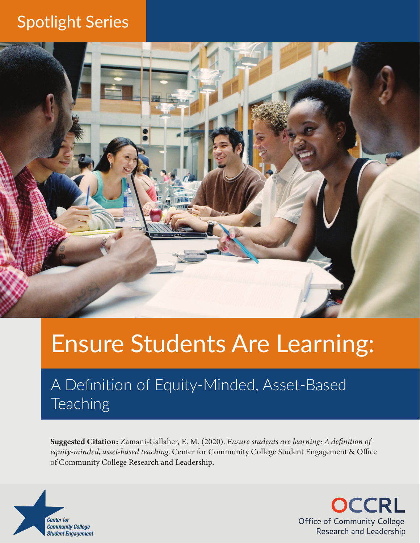## Spotlight Series



## Ensure Students Are Learning:

## A Definition of Equity-Minded, Asset-Based **Teaching**

Suggested Citation: Zamani-Gallaher, E. M. (2020). *Ensure students are learning: A definition of equity-minded, asset-based teaching*. Center for Community College Student Engagement & Office of Community College Research and Leadership.